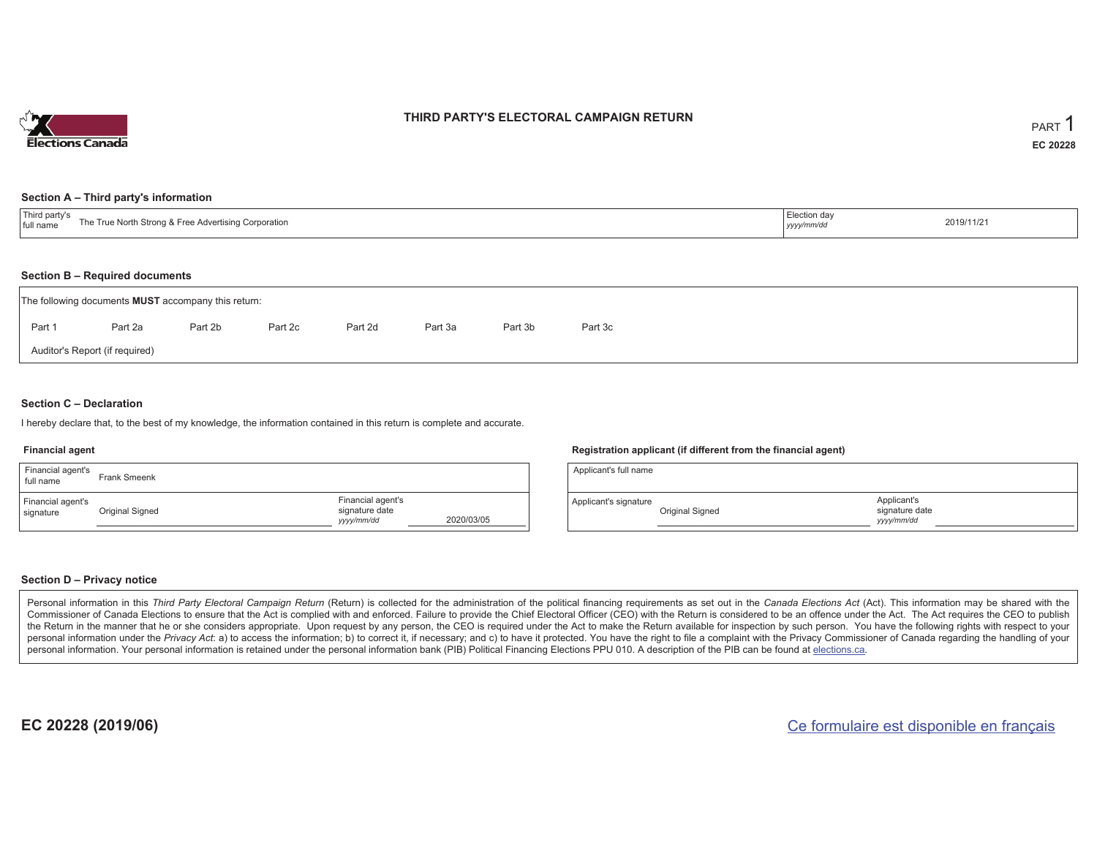

### **THIRD PARTY'S ELECTORAL CAMPAIGN RETURN**

#### **Section A – Third party's information**

| $\mathbf{r}$<br>ird party's<br>The True North<br>th Strong & Free Advertising Corporation<br>full name | Election day<br>yyyy/mm/dd | 2019/11/21 |
|--------------------------------------------------------------------------------------------------------|----------------------------|------------|
|--------------------------------------------------------------------------------------------------------|----------------------------|------------|

#### **Section B – Required documents**

|        | The following documents <b>MUST</b> accompany this return: |         |         |         |         |         |         |
|--------|------------------------------------------------------------|---------|---------|---------|---------|---------|---------|
| Part 1 | Part 2a                                                    | Part 2b | Part 2c | Part 2d | Part 3a | Part 3b | Part 3c |
|        | Auditor's Report (if required)                             |         |         |         |         |         |         |

### **Section C – Declaration**

I hereby declare that, to the best of my knowledge, the information contained in this return is complete and accurate.

#### **Financial agent**

| Financial agent's<br>full name | Frank Smeenk    |                                                   |            |
|--------------------------------|-----------------|---------------------------------------------------|------------|
| Financial agent's<br>signature | Original Signed | Financial agent's<br>signature date<br>yyyy/mm/dd | 2020/03/05 |

#### **Registration applicant (if different from the financial agent)**

| Applicant's full name |                 |                                             |  |
|-----------------------|-----------------|---------------------------------------------|--|
| Applicant's signature | Original Signed | Applicant's<br>signature date<br>yyyy/mm/dd |  |

#### **Section D – Privacy notice**

Personal information in this Third Party Electoral Campaign Return (Return) is collected for the administration of the political financing requirements as set out in the Canada Elections Act (Act). This information may be Commissioner of Canada Elections to ensure that the Act is complied with and enforced. Failure to provide the Chief Electoral Officer (CEO) with the Return is considered to be an offence under the Act. The Act requires the the Return in the manner that he or she considers appropriate. Upon request by any person, the CEO is required under the Act to make the Return available for inspection by such person. You have the following rights with re personal information under the Privacy Act: a) to access the information; b) to correct it, if necessary; and c) to have it protected. You have the right to file a complaint with the Privacy Commissioner of Canada regardin personal information. Your personal information is retained under the personal information bank (PIB) Political Financing Elections PPU 010. A description of the PIB can be found at elections.ca.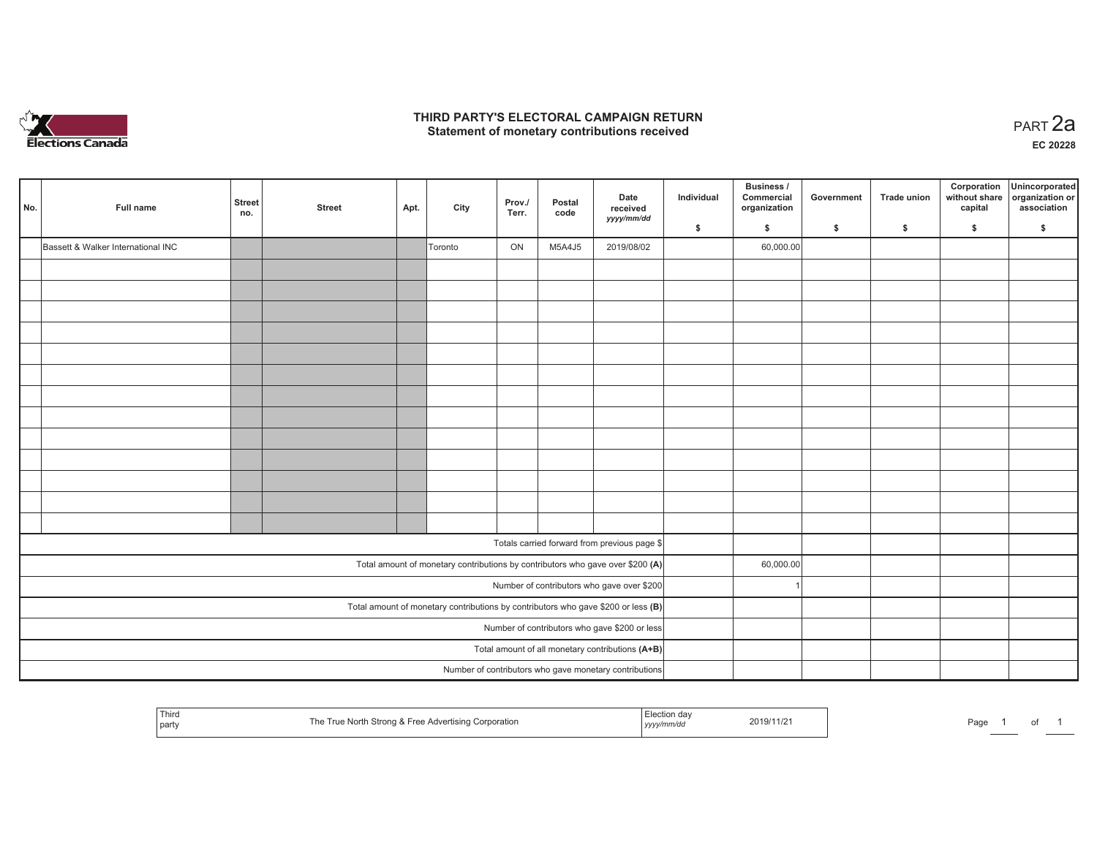

### **THIRD PARTY'S ELECTORAL CAMPAIGN RETURN HIRD PARTY'S ELECTORAL CAMPAIGN RETURN<br>Statement of monetary contributions received PART 2a**

**EC 20228**

| No. | Full name                                        | <b>Street</b><br>no. | <b>Street</b> | Apt. | City    | Prov./<br>Terr. | Postal<br>code | Date<br>received<br>yyyy/mm/dd                                                      | Individual | Business /<br>Commercial<br>organization | Government | Trade union | Corporation<br>without share<br>capital | Unincorporated<br>organization or<br>association |
|-----|--------------------------------------------------|----------------------|---------------|------|---------|-----------------|----------------|-------------------------------------------------------------------------------------|------------|------------------------------------------|------------|-------------|-----------------------------------------|--------------------------------------------------|
|     |                                                  |                      |               |      |         |                 |                |                                                                                     | \$         | \$                                       | \$         | \$          | \$                                      | \$                                               |
|     | Bassett & Walker International INC               |                      |               |      | Toronto | ON              | M5A4J5         | 2019/08/02                                                                          |            | 60,000.00                                |            |             |                                         |                                                  |
|     |                                                  |                      |               |      |         |                 |                |                                                                                     |            |                                          |            |             |                                         |                                                  |
|     |                                                  |                      |               |      |         |                 |                |                                                                                     |            |                                          |            |             |                                         |                                                  |
|     |                                                  |                      |               |      |         |                 |                |                                                                                     |            |                                          |            |             |                                         |                                                  |
|     |                                                  |                      |               |      |         |                 |                |                                                                                     |            |                                          |            |             |                                         |                                                  |
|     |                                                  |                      |               |      |         |                 |                |                                                                                     |            |                                          |            |             |                                         |                                                  |
|     |                                                  |                      |               |      |         |                 |                |                                                                                     |            |                                          |            |             |                                         |                                                  |
|     |                                                  |                      |               |      |         |                 |                |                                                                                     |            |                                          |            |             |                                         |                                                  |
|     |                                                  |                      |               |      |         |                 |                |                                                                                     |            |                                          |            |             |                                         |                                                  |
|     |                                                  |                      |               |      |         |                 |                |                                                                                     |            |                                          |            |             |                                         |                                                  |
|     |                                                  |                      |               |      |         |                 |                |                                                                                     |            |                                          |            |             |                                         |                                                  |
|     |                                                  |                      |               |      |         |                 |                |                                                                                     |            |                                          |            |             |                                         |                                                  |
|     |                                                  |                      |               |      |         |                 |                |                                                                                     |            |                                          |            |             |                                         |                                                  |
|     |                                                  |                      |               |      |         |                 |                |                                                                                     |            |                                          |            |             |                                         |                                                  |
|     |                                                  |                      |               |      |         |                 |                | Totals carried forward from previous page \$                                        |            |                                          |            |             |                                         |                                                  |
|     |                                                  |                      |               |      |         |                 |                | Total amount of monetary contributions by contributors who gave over \$200 (A)      |            | 60,000.00                                |            |             |                                         |                                                  |
|     |                                                  |                      |               |      |         |                 |                | Number of contributors who gave over \$200                                          |            |                                          |            |             |                                         |                                                  |
|     |                                                  |                      |               |      |         |                 |                | Total amount of monetary contributions by contributors who gave \$200 or less $(B)$ |            |                                          |            |             |                                         |                                                  |
|     |                                                  |                      |               |      |         |                 |                | Number of contributors who gave \$200 or less                                       |            |                                          |            |             |                                         |                                                  |
|     | Total amount of all monetary contributions (A+B) |                      |               |      |         |                 |                |                                                                                     |            |                                          |            |             |                                         |                                                  |
|     |                                                  |                      |               |      |         |                 |                | Number of contributors who gave monetary contributions                              |            |                                          |            |             |                                         |                                                  |

| Third<br>  party | True North Strong & Free Advertising Corporation | . aə.<br>, yyyymm⁄aa | 2019/11/2<br>the contract of the contract of the contract of | Page |  |  |  |  |
|------------------|--------------------------------------------------|----------------------|--------------------------------------------------------------|------|--|--|--|--|
|------------------|--------------------------------------------------|----------------------|--------------------------------------------------------------|------|--|--|--|--|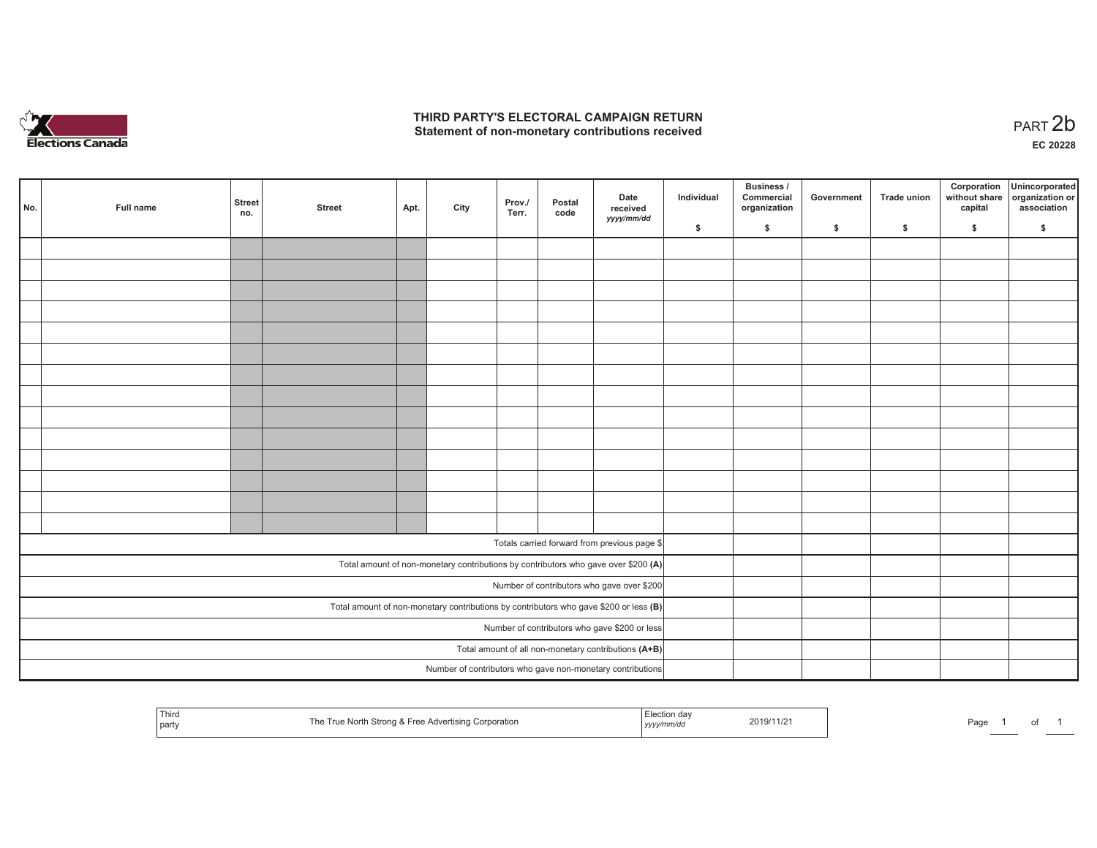

## **THIRD PARTY'S ELECTORAL CAMPAIGN RETURN**  THIRD PARTY'S ELECTORAL CAMPAIGN RETURN<br>Statement of non-monetary contributions received<br> **PART 2b**

| No. | Full name                                                                               | <b>Street</b><br>no.                                 | <b>Street</b> | Apt. | City | Prov./<br>Terr. | Postal<br>code | Date<br>received<br>yyyy/mm/dd                                                     | Individual | <b>Business /</b><br>Commercial<br>organization | Government   | Trade union  | Corporation<br>capital | Unincorporated<br>without share organization or<br>association |
|-----|-----------------------------------------------------------------------------------------|------------------------------------------------------|---------------|------|------|-----------------|----------------|------------------------------------------------------------------------------------|------------|-------------------------------------------------|--------------|--------------|------------------------|----------------------------------------------------------------|
|     |                                                                                         |                                                      |               |      |      |                 |                |                                                                                    | \$         | \$                                              | $\mathsf{s}$ | $\mathbf{s}$ | \$                     | \$                                                             |
|     |                                                                                         |                                                      |               |      |      |                 |                |                                                                                    |            |                                                 |              |              |                        |                                                                |
|     |                                                                                         |                                                      |               |      |      |                 |                |                                                                                    |            |                                                 |              |              |                        |                                                                |
|     |                                                                                         |                                                      |               |      |      |                 |                |                                                                                    |            |                                                 |              |              |                        |                                                                |
|     |                                                                                         |                                                      |               |      |      |                 |                |                                                                                    |            |                                                 |              |              |                        |                                                                |
|     |                                                                                         |                                                      |               |      |      |                 |                |                                                                                    |            |                                                 |              |              |                        |                                                                |
|     |                                                                                         |                                                      |               |      |      |                 |                |                                                                                    |            |                                                 |              |              |                        |                                                                |
|     |                                                                                         |                                                      |               |      |      |                 |                |                                                                                    |            |                                                 |              |              |                        |                                                                |
|     |                                                                                         |                                                      |               |      |      |                 |                |                                                                                    |            |                                                 |              |              |                        |                                                                |
|     |                                                                                         |                                                      |               |      |      |                 |                |                                                                                    |            |                                                 |              |              |                        |                                                                |
|     |                                                                                         |                                                      |               |      |      |                 |                |                                                                                    |            |                                                 |              |              |                        |                                                                |
|     |                                                                                         |                                                      |               |      |      |                 |                |                                                                                    |            |                                                 |              |              |                        |                                                                |
|     |                                                                                         |                                                      |               |      |      |                 |                |                                                                                    |            |                                                 |              |              |                        |                                                                |
|     |                                                                                         |                                                      |               |      |      |                 |                |                                                                                    |            |                                                 |              |              |                        |                                                                |
|     |                                                                                         |                                                      |               |      |      |                 |                |                                                                                    |            |                                                 |              |              |                        |                                                                |
|     |                                                                                         |                                                      |               |      |      |                 |                | Totals carried forward from previous page \$                                       |            |                                                 |              |              |                        |                                                                |
|     |                                                                                         |                                                      |               |      |      |                 |                |                                                                                    |            |                                                 |              |              |                        |                                                                |
|     |                                                                                         |                                                      |               |      |      |                 |                | Total amount of non-monetary contributions by contributors who gave over \$200 (A) |            |                                                 |              |              |                        |                                                                |
|     | Number of contributors who gave over \$200                                              |                                                      |               |      |      |                 |                |                                                                                    |            |                                                 |              |              |                        |                                                                |
|     | Total amount of non-monetary contributions by contributors who gave \$200 or less $(B)$ |                                                      |               |      |      |                 |                |                                                                                    |            |                                                 |              |              |                        |                                                                |
|     | Number of contributors who gave \$200 or less                                           |                                                      |               |      |      |                 |                |                                                                                    |            |                                                 |              |              |                        |                                                                |
|     |                                                                                         | Total amount of all non-monetary contributions (A+B) |               |      |      |                 |                |                                                                                    |            |                                                 |              |              |                        |                                                                |
|     |                                                                                         |                                                      |               |      |      |                 |                | Number of contributors who gave non-monetary contributions                         |            |                                                 |              |              |                        |                                                                |

| Third<br>' party | Strono<br>. & Free<br>Advertising Corporation<br>l rue<br>l he<br>ונזעו י | ud<br>,,,,,,,,, | 2019/11/21<br>the contract of the contract of the contract of | Page |  |  |  |  |
|------------------|---------------------------------------------------------------------------|-----------------|---------------------------------------------------------------|------|--|--|--|--|
|------------------|---------------------------------------------------------------------------|-----------------|---------------------------------------------------------------|------|--|--|--|--|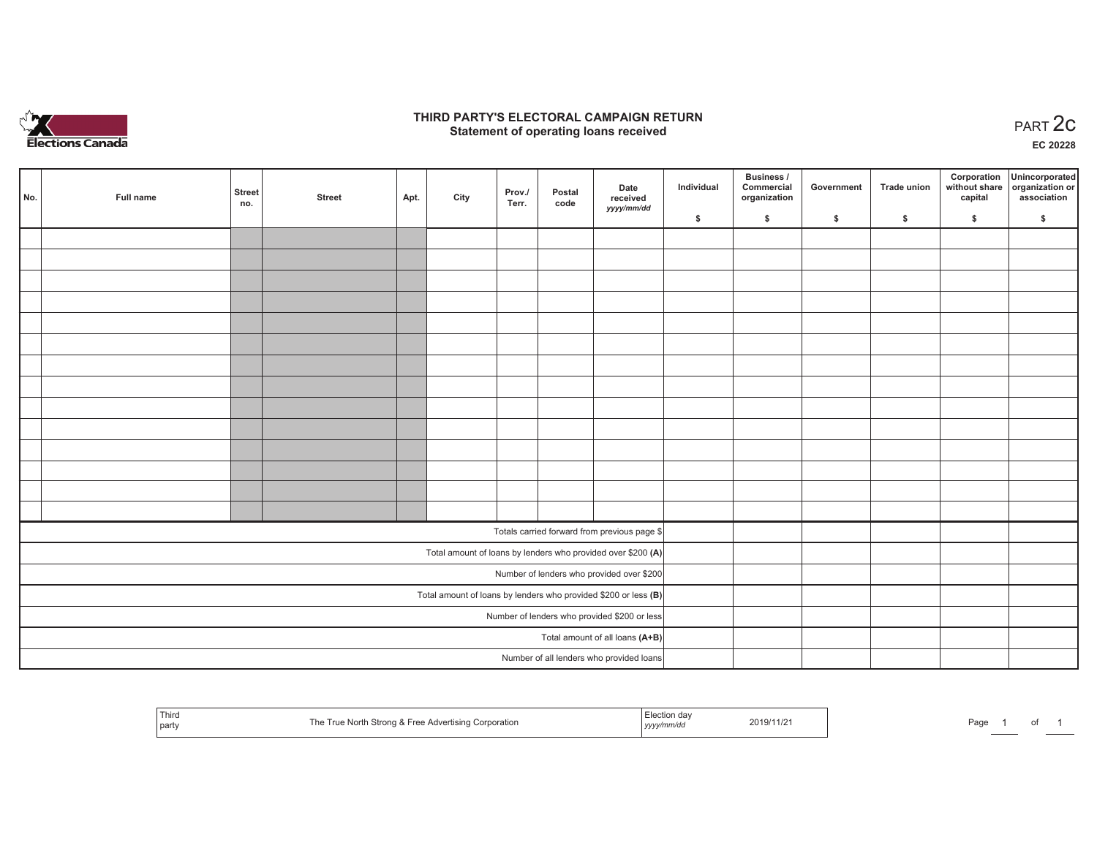

### **THIRD PARTY'S ELECTORAL CAMPAIGN RETURN STATE:** PARTY'S ELECTORAL CAMPAIGN RETURN<br>
Statement of operating loans received

**EC 20228**

| No. | Full name                                    | <b>Street</b><br>no. | <b>Street</b> | Apt. | City | Prov./<br>Terr. | Postal<br>code | Date<br>received<br>yyyy/mm/dd                                  | Individual | <b>Business /</b><br>Commercial<br>organization | Government | <b>Trade union</b> | Corporation<br>capital | Unincorporated<br>without share organization or<br>association |
|-----|----------------------------------------------|----------------------|---------------|------|------|-----------------|----------------|-----------------------------------------------------------------|------------|-------------------------------------------------|------------|--------------------|------------------------|----------------------------------------------------------------|
|     |                                              |                      |               |      |      |                 |                |                                                                 | \$         | \$                                              | \$         | \$                 | \$                     | \$                                                             |
|     |                                              |                      |               |      |      |                 |                |                                                                 |            |                                                 |            |                    |                        |                                                                |
|     |                                              |                      |               |      |      |                 |                |                                                                 |            |                                                 |            |                    |                        |                                                                |
|     |                                              |                      |               |      |      |                 |                |                                                                 |            |                                                 |            |                    |                        |                                                                |
|     |                                              |                      |               |      |      |                 |                |                                                                 |            |                                                 |            |                    |                        |                                                                |
|     |                                              |                      |               |      |      |                 |                |                                                                 |            |                                                 |            |                    |                        |                                                                |
|     |                                              |                      |               |      |      |                 |                |                                                                 |            |                                                 |            |                    |                        |                                                                |
|     |                                              |                      |               |      |      |                 |                |                                                                 |            |                                                 |            |                    |                        |                                                                |
|     |                                              |                      |               |      |      |                 |                |                                                                 |            |                                                 |            |                    |                        |                                                                |
|     |                                              |                      |               |      |      |                 |                |                                                                 |            |                                                 |            |                    |                        |                                                                |
|     |                                              |                      |               |      |      |                 |                |                                                                 |            |                                                 |            |                    |                        |                                                                |
|     |                                              |                      |               |      |      |                 |                |                                                                 |            |                                                 |            |                    |                        |                                                                |
|     |                                              |                      |               |      |      |                 |                |                                                                 |            |                                                 |            |                    |                        |                                                                |
|     |                                              |                      |               |      |      |                 |                |                                                                 |            |                                                 |            |                    |                        |                                                                |
|     |                                              |                      |               |      |      |                 |                |                                                                 |            |                                                 |            |                    |                        |                                                                |
|     |                                              |                      |               |      |      |                 |                | Totals carried forward from previous page \$                    |            |                                                 |            |                    |                        |                                                                |
|     |                                              |                      |               |      |      |                 |                | Total amount of loans by lenders who provided over \$200 (A)    |            |                                                 |            |                    |                        |                                                                |
|     |                                              |                      |               |      |      |                 |                | Number of lenders who provided over \$200                       |            |                                                 |            |                    |                        |                                                                |
|     |                                              |                      |               |      |      |                 |                | Total amount of loans by lenders who provided \$200 or less (B) |            |                                                 |            |                    |                        |                                                                |
|     | Number of lenders who provided \$200 or less |                      |               |      |      |                 |                |                                                                 |            |                                                 |            |                    |                        |                                                                |
|     | Total amount of all loans (A+B)              |                      |               |      |      |                 |                |                                                                 |            |                                                 |            |                    |                        |                                                                |
|     |                                              |                      |               |      |      |                 |                | Number of all lenders who provided loans                        |            |                                                 |            |                    |                        |                                                                |

|  | Third<br>ue North Strong & Free Advertising Corporation<br>l party | 2019/11/2<br>`'mm/au<br>,,,,, | Page |
|--|--------------------------------------------------------------------|-------------------------------|------|
|--|--------------------------------------------------------------------|-------------------------------|------|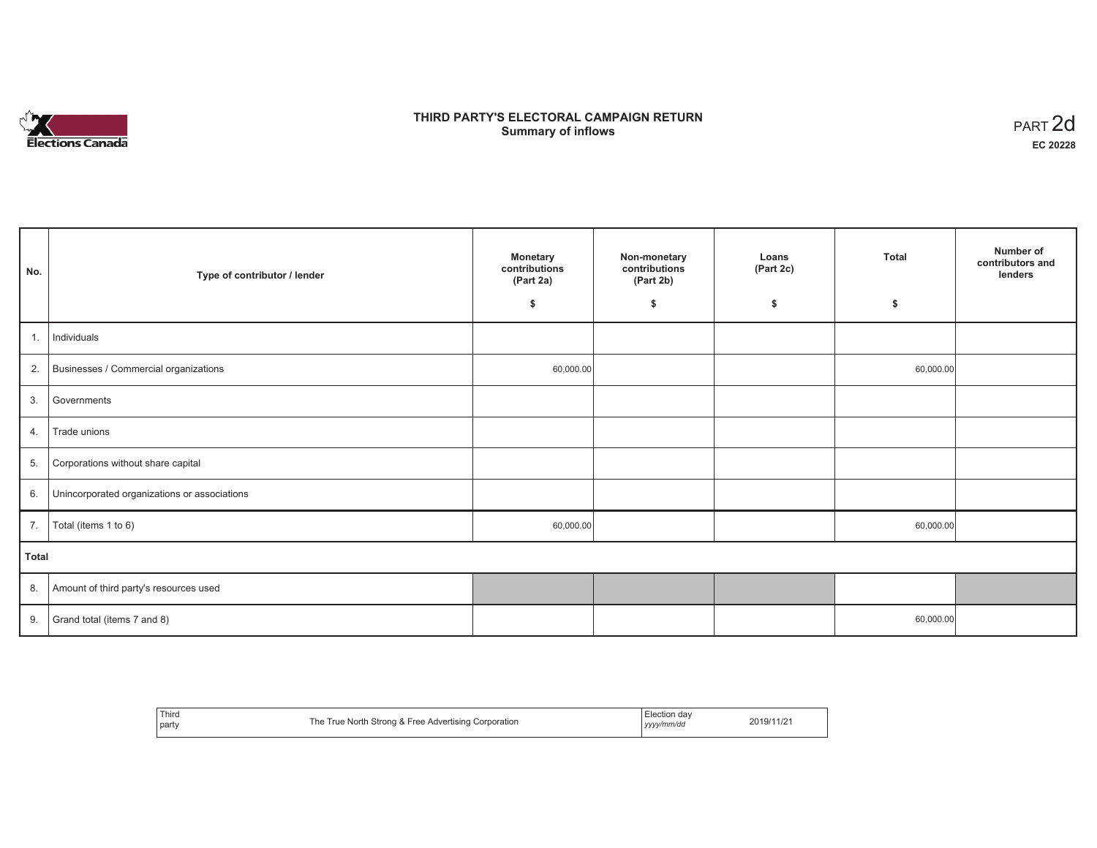

## **THIRD PARTY'S ELECTORAL CAMPAIGN RETURN S** ELECTORAL CAMPAIGN RETURN<br>Summary of inflows PART 2d

| No.   | Type of contributor / lender                 | <b>Monetary</b><br>contributions<br>(Part 2a) | Non-monetary<br>contributions<br>(Part 2b) | Loans<br>(Part 2c) | <b>Total</b> | Number of<br>contributors and<br>lenders |
|-------|----------------------------------------------|-----------------------------------------------|--------------------------------------------|--------------------|--------------|------------------------------------------|
|       |                                              | \$                                            | \$                                         | \$                 | \$           |                                          |
| 1.    | Individuals                                  |                                               |                                            |                    |              |                                          |
|       | 2. Businesses / Commercial organizations     | 60,000.00                                     |                                            |                    | 60,000.00    |                                          |
| 3.    | Governments                                  |                                               |                                            |                    |              |                                          |
| 4.    | Trade unions                                 |                                               |                                            |                    |              |                                          |
| 5.    | Corporations without share capital           |                                               |                                            |                    |              |                                          |
| 6.    | Unincorporated organizations or associations |                                               |                                            |                    |              |                                          |
|       | 7.   Total (items 1 to 6)                    | 60,000.00                                     |                                            |                    | 60,000.00    |                                          |
| Total |                                              |                                               |                                            |                    |              |                                          |
|       | 8. Amount of third party's resources used    |                                               |                                            |                    |              |                                          |
|       | 9. Grand total (items $7$ and $8$ )          |                                               |                                            |                    | 60,000.00    |                                          |

| Third<br>party | The True North Strong & Free Advertising Corporation | l Election dav<br>yyyy/mm/dd | 2019/11/21 |
|----------------|------------------------------------------------------|------------------------------|------------|
|----------------|------------------------------------------------------|------------------------------|------------|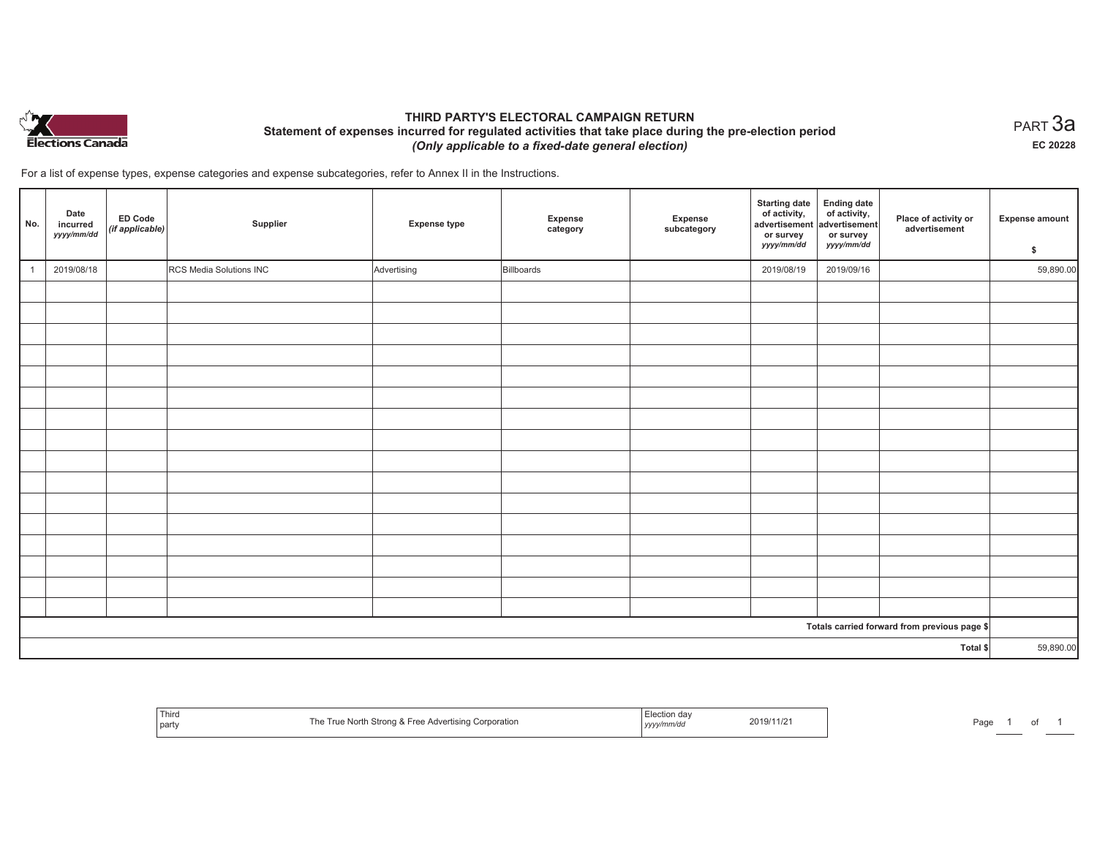

## **THIRD PARTY'S ELECTORAL CAMPAIGN RETURN Statement of expenses incurred for regulated activities that take place during the pre-election period**  *(Only applicable to a fixed-date general election)*

 $_{\sf PART}$ 3a **EC 20228**

For a list of expense types, expense categories and expense subcategories, refer to Annex II in the Instructions.

| No.          | Date<br>incurred<br>yyyy/mm/dd | ED Code<br>(if applicable) | Supplier                | <b>Expense type</b> | Expense<br>category | Expense<br>subcategory | <b>Starting date</b><br>of activity,<br>advertisement<br>or survey<br>yyyy/mm/dd | <b>Ending date</b><br>of activity,<br>advertisement<br>or survey<br>yyyy/mm/dd | Place of activity or<br>advertisement        | <b>Expense amount</b><br>\$ |
|--------------|--------------------------------|----------------------------|-------------------------|---------------------|---------------------|------------------------|----------------------------------------------------------------------------------|--------------------------------------------------------------------------------|----------------------------------------------|-----------------------------|
| $\mathbf{1}$ | 2019/08/18                     |                            | RCS Media Solutions INC | Advertising         | Billboards          |                        | 2019/08/19                                                                       | 2019/09/16                                                                     |                                              | 59,890.00                   |
|              |                                |                            |                         |                     |                     |                        |                                                                                  |                                                                                |                                              |                             |
|              |                                |                            |                         |                     |                     |                        |                                                                                  |                                                                                |                                              |                             |
|              |                                |                            |                         |                     |                     |                        |                                                                                  |                                                                                |                                              |                             |
|              |                                |                            |                         |                     |                     |                        |                                                                                  |                                                                                |                                              |                             |
|              |                                |                            |                         |                     |                     |                        |                                                                                  |                                                                                |                                              |                             |
|              |                                |                            |                         |                     |                     |                        |                                                                                  |                                                                                |                                              |                             |
|              |                                |                            |                         |                     |                     |                        |                                                                                  |                                                                                |                                              |                             |
|              |                                |                            |                         |                     |                     |                        |                                                                                  |                                                                                |                                              |                             |
|              |                                |                            |                         |                     |                     |                        |                                                                                  |                                                                                |                                              |                             |
|              |                                |                            |                         |                     |                     |                        |                                                                                  |                                                                                |                                              |                             |
|              |                                |                            |                         |                     |                     |                        |                                                                                  |                                                                                |                                              |                             |
|              |                                |                            |                         |                     |                     |                        |                                                                                  |                                                                                |                                              |                             |
|              |                                |                            |                         |                     |                     |                        |                                                                                  |                                                                                |                                              |                             |
|              |                                |                            |                         |                     |                     |                        |                                                                                  |                                                                                |                                              |                             |
|              |                                |                            |                         |                     |                     |                        |                                                                                  |                                                                                |                                              |                             |
|              |                                |                            |                         |                     |                     |                        |                                                                                  |                                                                                |                                              |                             |
|              |                                |                            |                         |                     |                     |                        |                                                                                  |                                                                                | Totals carried forward from previous page \$ |                             |
| Total \$     |                                |                            |                         |                     |                     |                        | 59,890.00                                                                        |                                                                                |                                              |                             |

| $- \cdot$<br>Third<br>`part | Fra<br>™ron∈<br>corporation.<br>ີ≏r⊓sind (<br>i ne<br>.<br>,,,, | 2019/11/2<br>,,,,, | Pag |
|-----------------------------|-----------------------------------------------------------------|--------------------|-----|
|-----------------------------|-----------------------------------------------------------------|--------------------|-----|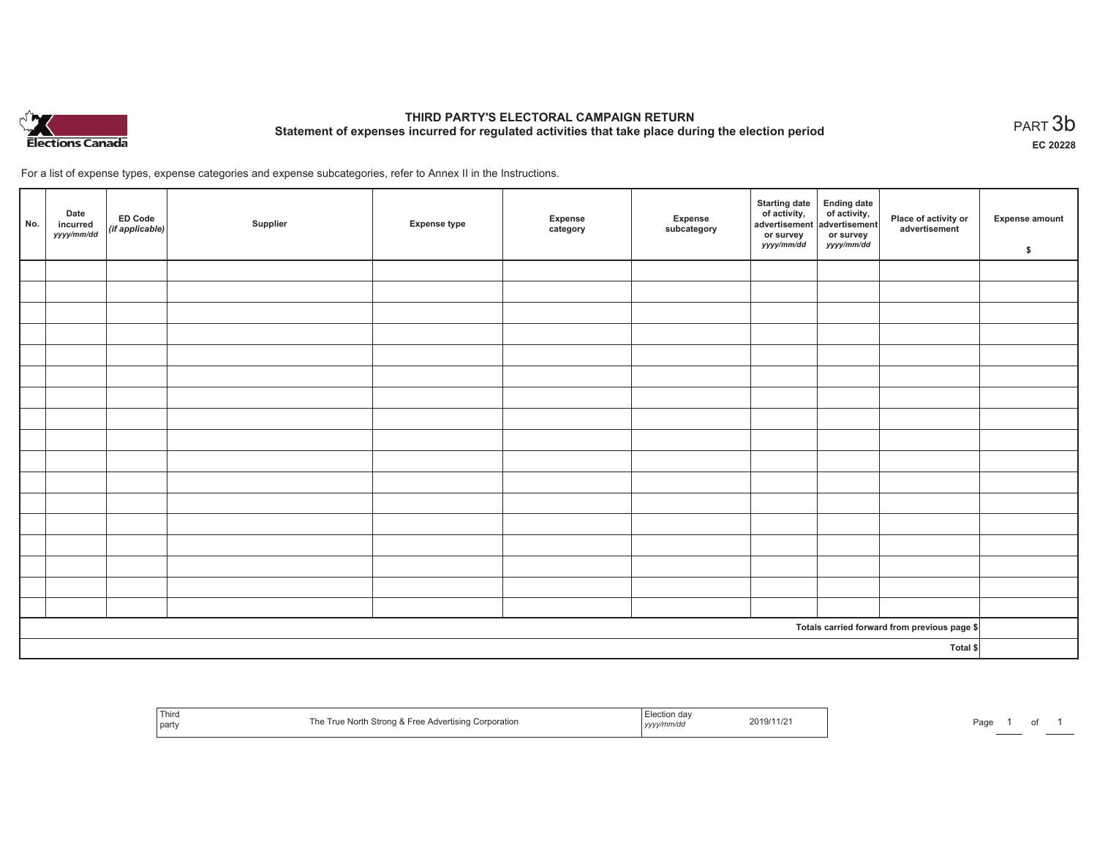

# **THIRD PARTY'S ELECTORAL CAMPAIGN RETURN Statement of expenses incurred for regulated activities that take place during the election period**<br>PART  $3\mathsf{b}$

**EC 20228**

For a list of expense types, expense categories and expense subcategories, refer to Annex II in the Instructions.

| No.      | Date<br>incurred<br>yyyy/mm/dd | ED Code<br>(if applicable) | Supplier | <b>Expense type</b> | Expense<br>category | Expense<br>subcategory | Starting date Ending date<br>of activity, of activity,<br>advertisement advertisement<br>or survey<br><i>yyyy/mm/dd</i> | or survey<br>yyyy/mm/dd | Place of activity or<br>advertisement        | <b>Expense amount</b><br>\$ |
|----------|--------------------------------|----------------------------|----------|---------------------|---------------------|------------------------|-------------------------------------------------------------------------------------------------------------------------|-------------------------|----------------------------------------------|-----------------------------|
|          |                                |                            |          |                     |                     |                        |                                                                                                                         |                         |                                              |                             |
|          |                                |                            |          |                     |                     |                        |                                                                                                                         |                         |                                              |                             |
|          |                                |                            |          |                     |                     |                        |                                                                                                                         |                         |                                              |                             |
|          |                                |                            |          |                     |                     |                        |                                                                                                                         |                         |                                              |                             |
|          |                                |                            |          |                     |                     |                        |                                                                                                                         |                         |                                              |                             |
|          |                                |                            |          |                     |                     |                        |                                                                                                                         |                         |                                              |                             |
|          |                                |                            |          |                     |                     |                        |                                                                                                                         |                         |                                              |                             |
|          |                                |                            |          |                     |                     |                        |                                                                                                                         |                         |                                              |                             |
|          |                                |                            |          |                     |                     |                        |                                                                                                                         |                         |                                              |                             |
|          |                                |                            |          |                     |                     |                        |                                                                                                                         |                         |                                              |                             |
|          |                                |                            |          |                     |                     |                        |                                                                                                                         |                         |                                              |                             |
|          |                                |                            |          |                     |                     |                        |                                                                                                                         |                         |                                              |                             |
|          |                                |                            |          |                     |                     |                        |                                                                                                                         |                         |                                              |                             |
|          |                                |                            |          |                     |                     |                        |                                                                                                                         |                         |                                              |                             |
|          |                                |                            |          |                     |                     |                        |                                                                                                                         |                         |                                              |                             |
|          |                                |                            |          |                     |                     |                        |                                                                                                                         |                         |                                              |                             |
|          |                                |                            |          |                     |                     |                        |                                                                                                                         |                         |                                              |                             |
|          |                                |                            |          |                     |                     |                        |                                                                                                                         |                         | Totals carried forward from previous page \$ |                             |
| Total \$ |                                |                            |          |                     |                     |                        |                                                                                                                         |                         |                                              |                             |

| <sup>I</sup> Third<br>part | <b>K</b> Free Advertising Corporation<br>Nort<br>. . | etion day<br>ーソソソン | 2019/11/2 | Page |  |
|----------------------------|------------------------------------------------------|--------------------|-----------|------|--|
|----------------------------|------------------------------------------------------|--------------------|-----------|------|--|